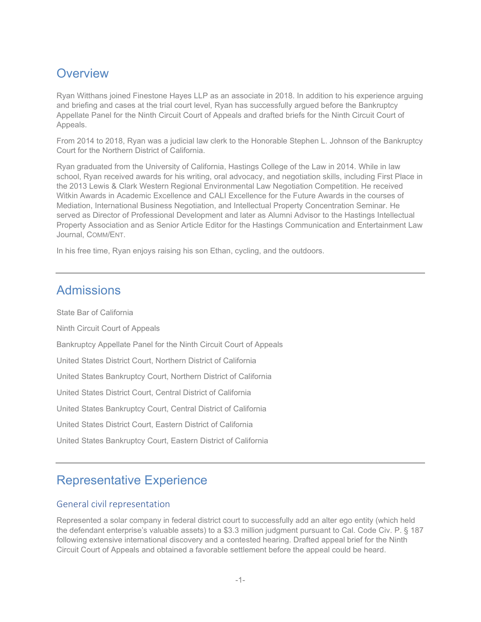## **Overview**

Ryan Witthans joined Finestone Hayes LLP as an associate in 2018. In addition to his experience arguing and briefing and cases at the trial court level, Ryan has successfully argued before the Bankruptcy Appellate Panel for the Ninth Circuit Court of Appeals and drafted briefs for the Ninth Circuit Court of Appeals.

From 2014 to 2018, Ryan was a judicial law clerk to the Honorable Stephen L. Johnson of the Bankruptcy Court for the Northern District of California.

Ryan graduated from the University of California, Hastings College of the Law in 2014. While in law school, Ryan received awards for his writing, oral advocacy, and negotiation skills, including First Place in the 2013 Lewis & Clark Western Regional Environmental Law Negotiation Competition. He received Witkin Awards in Academic Excellence and CALI Excellence for the Future Awards in the courses of Mediation, International Business Negotiation, and Intellectual Property Concentration Seminar. He served as Director of Professional Development and later as Alumni Advisor to the Hastings Intellectual Property Association and as Senior Article Editor for the Hastings Communication and Entertainment Law Journal, COMM/ENT.

In his free time, Ryan enjoys raising his son Ethan, cycling, and the outdoors.

## Admissions

State Bar of California Ninth Circuit Court of Appeals Bankruptcy Appellate Panel for the Ninth Circuit Court of Appeals United States District Court, Northern District of California United States Bankruptcy Court, Northern District of California United States District Court, Central District of California United States Bankruptcy Court, Central District of California United States District Court, Eastern District of California United States Bankruptcy Court, Eastern District of California

## Representative Experience

#### General civil representation

Represented a solar company in federal district court to successfully add an alter ego entity (which held the defendant enterprise's valuable assets) to a \$3.3 million judgment pursuant to Cal. Code Civ. P. § 187 following extensive international discovery and a contested hearing. Drafted appeal brief for the Ninth Circuit Court of Appeals and obtained a favorable settlement before the appeal could be heard.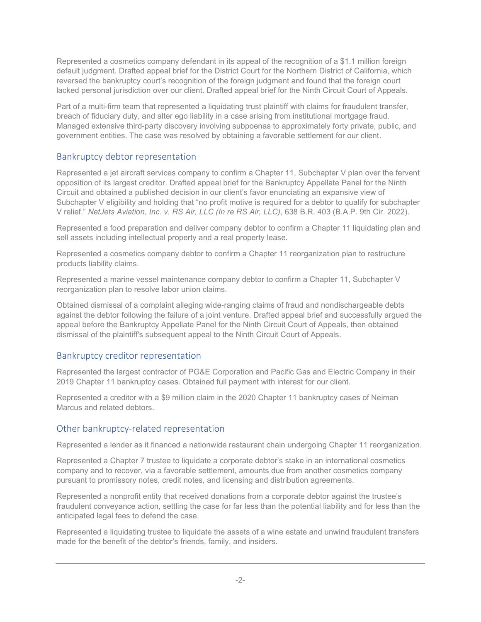Represented a cosmetics company defendant in its appeal of the recognition of a \$1.1 million foreign default judgment. Drafted appeal brief for the District Court for the Northern District of California, which reversed the bankruptcy court's recognition of the foreign judgment and found that the foreign court lacked personal jurisdiction over our client. Drafted appeal brief for the Ninth Circuit Court of Appeals.

Part of a multi-firm team that represented a liquidating trust plaintiff with claims for fraudulent transfer, breach of fiduciary duty, and alter ego liability in a case arising from institutional mortgage fraud. Managed extensive third-party discovery involving subpoenas to approximately forty private, public, and government entities. The case was resolved by obtaining a favorable settlement for our client.

### Bankruptcy debtor representation

Represented a jet aircraft services company to confirm a Chapter 11, Subchapter V plan over the fervent opposition of its largest creditor. Drafted appeal brief for the Bankruptcy Appellate Panel for the Ninth Circuit and obtained a published decision in our client's favor enunciating an expansive view of Subchapter V eligibility and holding that "no profit motive is required for a debtor to qualify for subchapter V relief." *NetJets Aviation, Inc. v. RS Air, LLC (In re RS Air, LLC)*, 638 B.R. 403 (B.A.P. 9th Cir. 2022).

Represented a food preparation and deliver company debtor to confirm a Chapter 11 liquidating plan and sell assets including intellectual property and a real property lease.

Represented a cosmetics company debtor to confirm a Chapter 11 reorganization plan to restructure products liability claims.

Represented a marine vessel maintenance company debtor to confirm a Chapter 11, Subchapter V reorganization plan to resolve labor union claims.

Obtained dismissal of a complaint alleging wide-ranging claims of fraud and nondischargeable debts against the debtor following the failure of a joint venture. Drafted appeal brief and successfully argued the appeal before the Bankruptcy Appellate Panel for the Ninth Circuit Court of Appeals, then obtained dismissal of the plaintiff's subsequent appeal to the Ninth Circuit Court of Appeals.

#### Bankruptcy creditor representation

Represented the largest contractor of PG&E Corporation and Pacific Gas and Electric Company in their 2019 Chapter 11 bankruptcy cases. Obtained full payment with interest for our client.

Represented a creditor with a \$9 million claim in the 2020 Chapter 11 bankruptcy cases of Neiman Marcus and related debtors.

#### Other bankruptcy-related representation

Represented a lender as it financed a nationwide restaurant chain undergoing Chapter 11 reorganization.

Represented a Chapter 7 trustee to liquidate a corporate debtor's stake in an international cosmetics company and to recover, via a favorable settlement, amounts due from another cosmetics company pursuant to promissory notes, credit notes, and licensing and distribution agreements.

Represented a nonprofit entity that received donations from a corporate debtor against the trustee's fraudulent conveyance action, settling the case for far less than the potential liability and for less than the anticipated legal fees to defend the case.

Represented a liquidating trustee to liquidate the assets of a wine estate and unwind fraudulent transfers made for the benefit of the debtor's friends, family, and insiders.